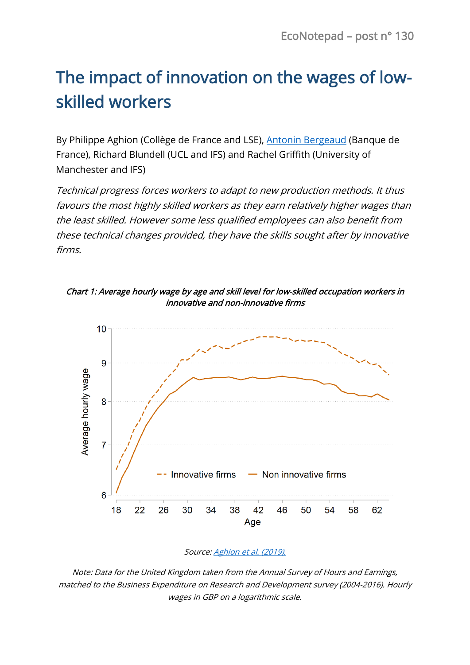## The impact of innovation on the wages of lowskilled workers

By Philippe Aghion (Collège de France and LSE), [Antonin Bergeaud](https://www.banque-france.fr/antonin-bergeaud) (Banque de France), Richard Blundell (UCL and IFS) and Rachel Griffith (University of Manchester and IFS)

Technical progress forces workers to adapt to new production methods. It thus favours the most highly skilled workers as they earn relatively higher wages than the least skilled. However some less qualified employees can also benefit from these technical changes provided, they have the skills sought after by innovative firms.







Note: Data for the United Kingdom taken from the Annual Survey of Hours and Earnings, matched to the Business Expenditure on Research and Development survey (2004-2016). Hourly wages in GBP on a logarithmic scale.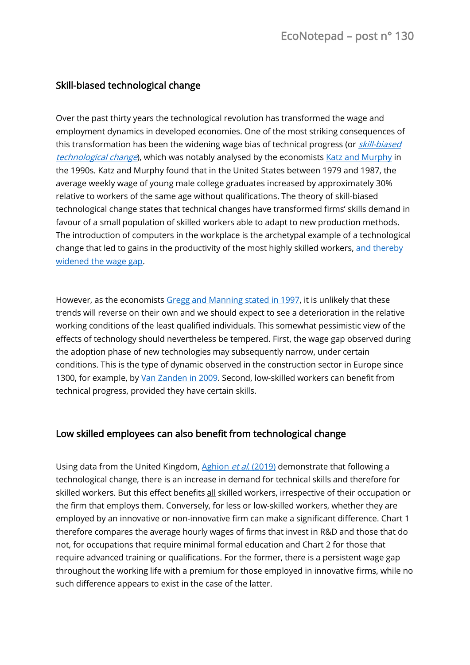## Skill-biased technological change

Over the past thirty years the technological revolution has transformed the wage and employment dynamics in developed economies. One of the most striking consequences of this transformation has been the widening wage bias of technical progress (or *skill-biased* [technological change](https://en.wikipedia.org/wiki/Causes_of_income_inequality_in_the_United_States#Skill-biased_technological_change)), which was notably analysed by the economists [Katz and Murphy](https://scholar.harvard.edu/files/lkatz/files/changes_in_relative_wages_1963-1987_supply_and_demand_factors.pdf) in the 1990s. Katz and Murphy found that in the United States between 1979 and 1987, the average weekly wage of young male college graduates increased by approximately 30% relative to workers of the same age without qualifications. The theory of skill-biased technological change states that technical changes have transformed firms' skills demand in favour of a small population of skilled workers able to adapt to new production methods. The introduction of computers in the workplace is the archetypal example of a technological change that led to gains in the productivity of the most highly skilled workers, [and thereby](https://economics.mit.edu/files/11574)  [widened the wage gap.](https://economics.mit.edu/files/11574)

However, as the economists [Gregg and Manning stated in 1997,](https://www.sciencedirect.com/science/article/pii/S0014292196000542) it is unlikely that these trends will reverse on their own and we should expect to see a deterioration in the relative working conditions of the least qualified individuals. This somewhat pessimistic view of the effects of technology should nevertheless be tempered. First, the wage gap observed during the adoption phase of new technologies may subsequently narrow, under certain conditions. This is the type of dynamic observed in the construction sector in Europe since 1300, for example, by [Van Zanden in 2009.](https://www.cambridge.org/core/journals/european-review-of-economic-history/article/skill-premium-and-the-great-divergence/2683C3D108F87DAF8941BB14374402DA) Second, low-skilled workers can benefit from technical progress, provided they have certain skills.

## Low skilled employees can also benefit from technological change

Using data from the United Kingdom[, Aghion](https://scholar.harvard.edu/files/aghion/files/innovation_premium_to_soft_skills.pdf) et al. (2019) demonstrate that following a technological change, there is an increase in demand for technical skills and therefore for skilled workers. But this effect benefits all skilled workers, irrespective of their occupation or the firm that employs them. Conversely, for less or low-skilled workers, whether they are employed by an innovative or non-innovative firm can make a significant difference. Chart 1 therefore compares the average hourly wages of firms that invest in R&D and those that do not, for occupations that require minimal formal education and Chart 2 for those that require advanced training or qualifications. For the former, there is a persistent wage gap throughout the working life with a premium for those employed in innovative firms, while no such difference appears to exist in the case of the latter.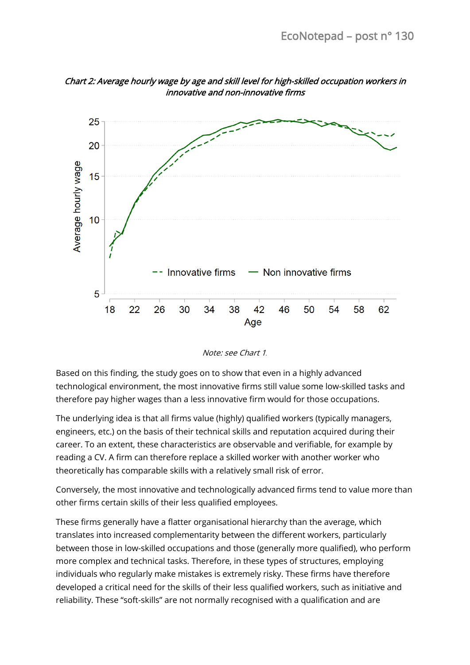

Chart 2: Average hourly wage by age and skill level for high-skilled occupation workers in innovative and non-innovative firms



Based on this finding, the study goes on to show that even in a highly advanced technological environment, the most innovative firms still value some low-skilled tasks and therefore pay higher wages than a less innovative firm would for those occupations.

The underlying idea is that all firms value (highly) qualified workers (typically managers, engineers, etc.) on the basis of their technical skills and reputation acquired during their career. To an extent, these characteristics are observable and verifiable, for example by reading a CV. A firm can therefore replace a skilled worker with another worker who theoretically has comparable skills with a relatively small risk of error.

Conversely, the most innovative and technologically advanced firms tend to value more than other firms certain skills of their less qualified employees.

These firms generally have a flatter organisational hierarchy than the average, which translates into increased complementarity between the different workers, particularly between those in low-skilled occupations and those (generally more qualified), who perform more complex and technical tasks. Therefore, in these types of structures, employing individuals who regularly make mistakes is extremely risky. These firms have therefore developed a critical need for the skills of their less qualified workers, such as initiative and reliability. These "soft-skills" are not normally recognised with a qualification and are